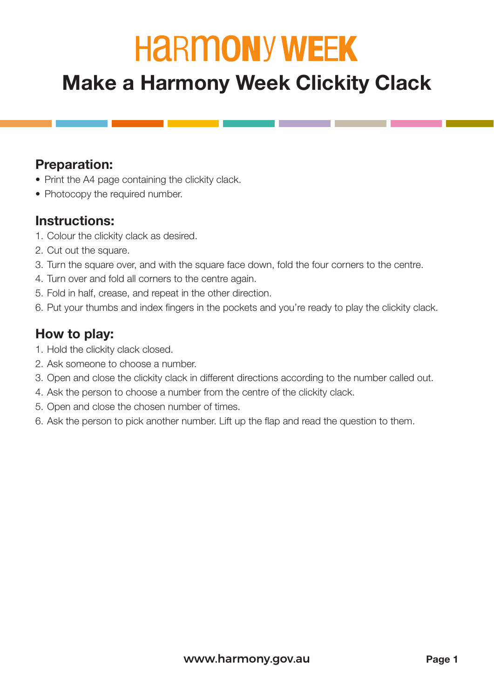# **HARMONY WEEK**

## **Make a Harmony Week Clickity Clack**

#### **Preparation:**

- Print the A4 page containing the clickity clack.
- Photocopy the required number.

#### **Instructions:**

- 1. Colour the clickity clack as desired.
- 2. Cut out the square.
- 3. Turn the square over, and with the square face down, fold the four corners to the centre.
- 4. Turn over and fold all corners to the centre again.
- 5. Fold in half, crease, and repeat in the other direction.
- 6. Put your thumbs and index fingers in the pockets and you're ready to play the clickity clack.

### **How to play:**

- 1. Hold the clickity clack closed.
- 2. Ask someone to choose a number.
- 3. Open and close the clickity clack in different directions according to the number called out.
- 4. Ask the person to choose a number from the centre of the clickity clack.
- 5. Open and close the chosen number of times.
- 6. Ask the person to pick another number. Lift up the flap and read the question to them.